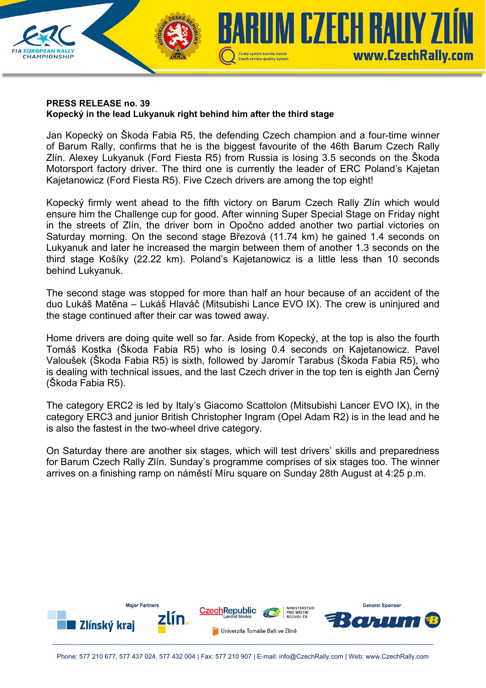

## **PRESS RELEASE no. 39 Kopecký in the lead Lukyanuk right behind him after the third stage**

Jan Kopecký on Škoda Fabia R5, the defending Czech champion and a four-time winner of Barum Rally, confirms that he is the biggest favourite of the 46th Barum Czech Rally Zlín. Alexey Lukyanuk (Ford Fiesta R5) from Russia is losing 3.5 seconds on the Škoda Motorsport factory driver. The third one is currently the leader of ERC Poland's Kajetan Kajetanowicz (Ford Fiesta R5). Five Czech drivers are among the top eight!

Kopecký firmly went ahead to the fifth victory on Barum Czech Rally Zlín which would ensure him the Challenge cup for good. After winning Super Special Stage on Friday night in the streets of Zlín, the driver born in Opočno added another two partial victories on Saturday morning. On the second stage Březová (11.74 km) he gained 1.4 seconds on Lukyanuk and later he increased the margin between them of another 1.3 seconds on the third stage Košíky (22.22 km). Poland's Kajetanowicz is a little less than 10 seconds behind Lukyanuk.

The second stage was stopped for more than half an hour because of an accident of the duo Lukáš Matěna – Lukáš Hlaváč (Mitsubishi Lance EVO IX). The crew is uninjured and the stage continued after their car was towed away.

Home drivers are doing quite well so far. Aside from Kopecký, at the top is also the fourth Tomáš Kostka (Škoda Fabia R5) who is losing 0.4 seconds on Kajetanowicz. Pavel Valoušek (Škoda Fabia R5) is sixth, followed by Jaromír Tarabus (Škoda Fabia R5), who is dealing with technical issues, and the last Czech driver in the top ten is eighth Jan Černý (Škoda Fabia R5).

The category ERC2 is led by Italy's Giacomo Scattolon (Mitsubishi Lancer EVO IX), in the category ERC3 and junior British Christopher Ingram (Opel Adam R2) is in the lead and he is also the fastest in the two-wheel drive category.

On Saturday there are another six stages, which will test drivers' skills and preparedness for Barum Czech Rally Zlín. Sunday's programme comprises of six stages too. The winner arrives on a finishing ramp on náměstí Míru square on Sunday 28th August at 4:25 p.m.